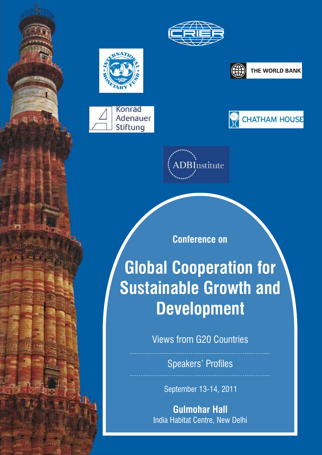







THE WORLD BANK



DBInstitute

**Conference on**

**Global Cooperation for Sustainable Growth and Development** 

Views from G20 Countries

Speakers' Profiles

September 13-14, 2011

**Gulmohar Hall**  India Habitat Centre, New Delhi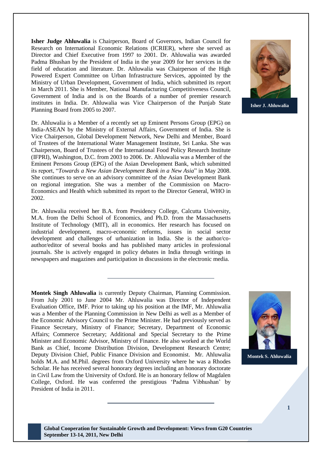**Isher Judge Ahluwalia** is Chairperson, Board of Governors, Indian Council for Research on International Economic Relations (ICRIER), where she served as Director and Chief Executive from 1997 to 2001. Dr. Ahluwalia was awarded Padma Bhushan by the President of India in the year 2009 for her services in the field of education and literature. Dr. Ahluwalia was Chairperson of the High Powered Expert Committee on Urban Infrastructure Services, appointed by the Ministry of Urban Development, Government of India, which submitted its report in March 2011. She is Member, National Manufacturing Competitiveness Council, Government of India and is on the Boards of a number of premier research institutes in India. Dr. Ahluwalia was Vice Chairperson of the Punjab State Planning Board from 2005 to 2007.

Dr. Ahluwalia is a Member of a recently set up Eminent Persons Group (EPG) on India-ASEAN by the Ministry of External Affairs, Government of India. She is Vice Chairperson, Global Development Network, New Delhi and Member, Board of Trustees of the International Water Management Institute, Sri Lanka. She was Chairperson, Board of Trustees of the International Food Policy Research Institute (IFPRI), Washington, D.C. from 2003 to 2006. Dr. Ahluwalia was a Member of the Eminent Persons Group (EPG) of the Asian Development Bank, which submitted its report, "Towards a New Asian Development Bank in a New Asia" in May 2008. She continues to serve on an advisory committee of the Asian Development Bank on regional integration. She was a member of the Commission on Macro-Economics and Health which submitted its report to the Director General, WHO in 2002.

Dr. Ahluwalia received her B.A. from Presidency College, Calcutta University, M.A. from the Delhi School of Economics, and Ph.D. from the Massachusetts Institute of Technology (MIT), all in economics. Her research has focused on industrial development, macro-economic reforms, issues in social sector development and challenges of urbanization in India. She is the author/coauthor/editor of several books and has published many articles in professional journals. She is actively engaged in policy debates in India through writings in newspapers and magazines and participation in discussions in the electronic media.

**Montek Singh Ahluwalia** is currently Deputy Chairman, Planning Commission. From July 2001 to June 2004 Mr. Ahluwalia was Director of Independent Evaluation Office, IMF. Prior to taking up his position at the IMF, Mr. Ahluwalia was a Member of the Planning Commission in New Delhi as well as a Member of the Economic Advisory Council to the Prime Minister. He had previously served as Finance Secretary, Ministry of Finance; Secretary, Department of Economic Affairs; Commerce Secretary; Additional and Special Secretary to the Prime Minister and Economic Advisor, Ministry of Finance. He also worked at the World Bank as Chief, Income Distribution Division, Development Research Centre; Deputy Division Chief, Public Finance Division and Economist. Mr. Ahluwalia holds M.A. and M.Phil. degrees from Oxford University where he was a Rhodes Scholar. He has received several honorary degrees including an honorary doctorate in Civil Law from the University of Oxford. He is an honorary fellow of Magdalen College, Oxford. He was conferred the prestigious 'Padma Vibhushan' by President of India in 2011.



**Isher J. Ahluwalia**



**Montek S. Ahluwalia**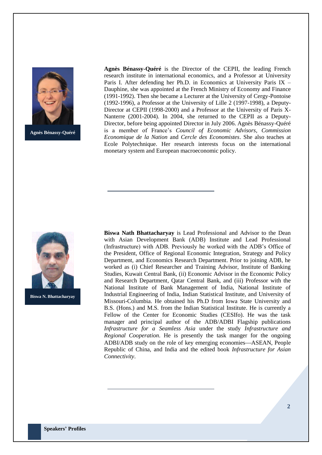

**Agnès Bénassy-Quéré**

**Agnès Bénassy-Quéré** is the Director of the CEPII, the leading French research institute in international economics, and a Professor at University Paris I. After defending her Ph.D. in Economics at University Paris IX – Dauphine, she was appointed at the French Ministry of Economy and Finance (1991-1992). Then she became a Lecturer at the University of Cergy-Pontoise (1992-1996), a Professor at the University of Lille 2 (1997-1998), a Deputy-Director at CEPII (1998-2000) and a Professor at the University of Paris X-Nanterre (2001-2004). In 2004, she returned to the CEPII as a Deputy-Director, before being appointed Director in July 2006. Agnès Bénassy-Quéré is a member of France's *Council of Economic Advisors*, *Commission Economique de la Nation* and *Cercle des Economistes*. She also teaches at Ecole Polytechnique. Her research interests focus on the international monetary system and European macroeconomic policy.



**Biswa N. Bhattacharyay**

**Biswa Nath Bhattacharyay** is Lead Professional and Advisor to the Dean with Asian Development Bank (ADB) Institute and Lead Professional (Infrastructure) with ADB. Previously he worked with the ADB's Office of the President, Office of Regional Economic Integration, Strategy and Policy Department, and Economics Research Department. Prior to joining ADB, he worked as (i) Chief Researcher and Training Advisor, Institute of Banking Studies, Kuwait Central Bank, (ii) Economic Advisor in the Economic Policy and Research Department, Qatar Central Bank, and (iii) Professor with the National Institute of Bank Management of India, National Institute of Industrial Engineering of India, Indian Statistical Institute, and University of Missouri-Columbia. He obtained his Ph.D from Iowa State University and B.S. (Hons.) and M.S. from the Indian Statistical Institute. He is currently a Fellow of the Center for Economic Studies (CESIfo). He was the task manager and principal author of the ADB/ADBI Flagship publications *Infrastructure for a Seamless Asia* under the study *Infrastructure and Regional Cooperation*. He is presently the task manger for the ongoing ADBI/ADB study on the role of key emerging economies—ASEAN, People Republic of China, and India and the edited book *Infrastructure for Asian Connectivity*.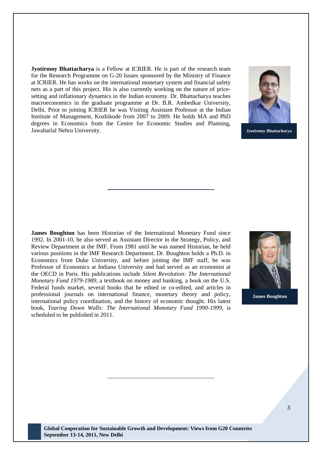**Jyotirmoy Bhattacharya** is a Fellow at ICRIER. He is part of the research team for the Research Programme on G-20 Issues sponsored by the Ministry of Finance at ICRIER. He has works on the international monetary system and financial safety nets as a part of this project. His is also currently working on the nature of pricesetting and inflationary dynamics in the Indian economy. Dr. Bhattacharya teaches macroeconomics in the graduate programme at Dr. B.R. Ambedkar University, Delhi. Prior to joining ICRIER he was Visiting Assistant Professor at the Indian Institute of Management, Kozhikode from 2007 to 2009. He holds MA and PhD degrees in Economics from the Centre for Economic Studies and Planning, Jawaharlal Nehru University.



**Jyotirmoy Bhattacharya**

**James Boughton** has been Historian of the International Monetary Fund since 1992. In 2001-10, he also served as Assistant Director in the Strategy, Policy, and Review Department at the IMF. From 1981 until he was named Historian, he held various positions in the IMF Research Department. Dr. Boughton holds a Ph.D. in Economics from Duke University, and before joining the IMF staff, he was Professor of Economics at Indiana University and had served as an economist at the OECD in Paris. His publications include *Silent Revolution: The International Monetary Fund 1979-1989*, a textbook on money and banking, a book on the U.S. Federal funds market, several books that he edited or co-edited, and articles in professional journals on international finance, monetary theory and policy, international policy coordination, and the history of economic thought. His latest book, *Tearing Down Walls: The International Monetary Fund 1990-1999*, is scheduled to be published in 2011.



**James Boughton**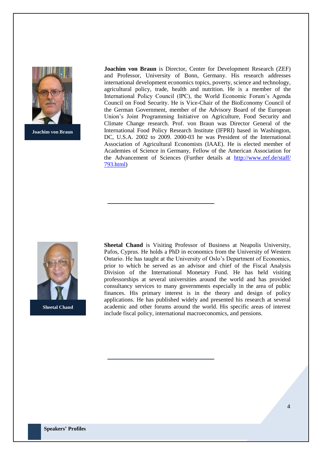

**Joachim von Braun**

**Joachim von Braun** is Director, Center for Development Research (ZEF) and Professor, University of Bonn, Germany. His research addresses international development economics topics, poverty, science and technology, agricultural policy, trade, health and nutrition. He is a member of the International Policy Council (IPC), the World Economic Forum's Agenda Council on Food Security. He is Vice-Chair of the BioEconomy Council of the German Government, member of the Advisory Board of the European Union's Joint Programming Initiative on Agriculture, Food Security and Climate Change research. Prof. von Braun was Director General of the International Food Policy Research Institute (IFPRI) based in Washington, DC, U.S.A. 2002 to 2009. 2000-03 he was President of the International Association of Agricultural Economists (IAAE). He is elected member of Academies of Science in Germany, Fellow of the American Association for the Advancement of Sciences (Further details at [http://www.zef.de/staff/](http://www.zef.de/staff/%20793.html)  [793.html\)](http://www.zef.de/staff/%20793.html)



**Sheetal Chand**

**Sheetal Chand** is Visiting Professor of Business at Neapolis University, Pafos, Cyprus. He holds a PhD in economics from the University of Western Ontario. He has taught at the University of Oslo's Department of Economics, prior to which he served as an advisor and chief of the Fiscal Analysis Division of the International Monetary Fund. He has held visiting professorships at several universities around the world and has provided consultancy services to many governments especially in the area of public finances. His primary interest is in the theory and design of policy applications. He has published widely and presented his research at several academic and other forums around the world. His specific areas of interest include fiscal policy, international macroeconomics, and pensions.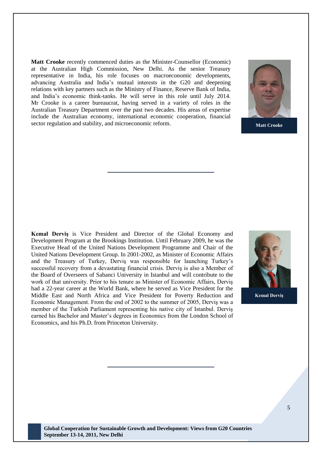**Matt Crooke** recently commenced duties as the Minister-Counsellor (Economic) at the Australian High Commission, New Delhi. As the senior Treasury representative in India, his role focuses on macroeconomic developments, advancing Australia and India's mutual interests in the G20 and deepening relations with key partners such as the Ministry of Finance, Reserve Bank of India, and India's economic think-tanks. He will serve in this role until July 2014. Mr Crooke is a career bureaucrat, having served in a variety of roles in the Australian Treasury Department over the past two decades. His areas of expertise include the Australian economy, international economic cooperation, financial sector regulation and stability, and microeconomic reform.



**Matt Crooke**

**Kemal Derviş** is Vice President and Director of the Global Economy and Development Program at the Brookings Institution. Until February 2009, he was the Executive Head of the United Nations Development Programme and Chair of the United Nations Development Group. In 2001-2002, as Minister of Economic Affairs and the Treasury of Turkey, Derviş was responsible for launching Turkey's successful recovery from a devastating financial crisis. Derviş is also a Member of the Board of Overseers of Sabanci University in Istanbul and will contribute to the work of that university. Prior to his tenure as Minister of Economic Affairs, Derviş had a 22-year career at the World Bank, where he served as Vice President for the Middle East and North Africa and Vice President for Poverty Reduction and Economic Management. From the end of 2002 to the summer of 2005, Derviş was a member of the Turkish Parliament representing his native city of Istanbul. Derviş earned his Bachelor and Master's degrees in Economics from the London School of Economics, and his Ph.D. from Princeton University.



**Kemal Derviş**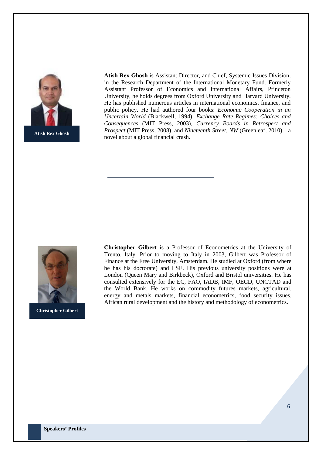

**Atish Rex Ghosh** is Assistant Director, and Chief, Systemic Issues Division, in the Research Department of the International Monetary Fund. Formerly Assistant Professor of Economics and International Affairs, Princeton University, he holds degrees from Oxford University and Harvard University. He has published numerous articles in international economics, finance, and public policy. He had authored four books: *Economic Cooperation in an Uncertain World* (Blackwell, 1994), *Exchange Rate Regimes: Choices and Consequences* (MIT Press, 2003), *Currency Boards in Retrospect and Prospect* (MIT Press, 2008), and *Nineteenth Street, NW* (Greenleaf, 2010)—a novel about a global financial crash.



**Christopher Gilbert**

**Christopher Gilbert** is a Professor of Econometrics at the University of Trento, Italy. Prior to moving to Italy in 2003, Gilbert was Professor of Finance at the Free University, Amsterdam. He studied at Oxford (from where he has his doctorate) and LSE. His previous university positions were at London (Queen Mary and Birkbeck), Oxford and Bristol universities. He has consulted extensively for the EC, FAO, IADB, IMF, OECD, UNCTAD and the World Bank. He works on commodity futures markets, agricultural, energy and metals markets, financial econometrics, food security issues, African rural development and the history and methodology of econometrics.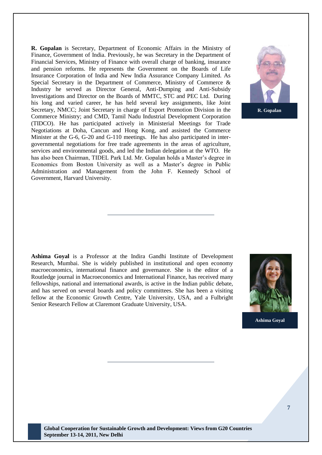**R. Gopalan** is Secretary, Department of Economic Affairs in the Ministry of Finance, Government of India. Previously, he was Secretary in the Department of Financial Services, Ministry of Finance with overall charge of banking, insurance and pension reforms. He represents the Government on the Boards of Life Insurance Corporation of India and New India Assurance Company Limited. As Special Secretary in the Department of Commerce, Ministry of Commerce & Industry he served as Director General, Anti-Dumping and Anti-Subsidy Investigations and Director on the Boards of MMTC, STC and PEC Ltd. During his long and varied career, he has held several key assignments, like Joint Secretary, NMCC; Joint Secretary in charge of Export Promotion Division in the Commerce Ministry; and CMD, Tamil Nadu Industrial Development Corporation (TIDCO). He has participated actively in Ministerial Meetings for Trade Negotiations at Doha, Cancun and Hong Kong, and assisted the Commerce Minister at the G-6, G-20 and G-110 meetings. He has also participated in intergovernmental negotiations for free trade agreements in the areas of agriculture, services and environmental goods, and led the Indian delegation at the WTO. He has also been Chairman, TIDEL Park Ltd. Mr. Gopalan holds a Master's degree in Economics from Boston University as well as a Master's degree in Public Administration and Management from the John F. Kennedy School of Government, Harvard University.



**R. Gopalan**

**Ashima Goyal** is a Professor at the Indira Gandhi Institute of Development Research, Mumbai. She is widely published in institutional and open economy macroeconomics, international finance and governance. She is the editor of a Routledge journal in Macroeconomics and International Finance, has received many fellowships, national and international awards, is active in the Indian public debate, and has served on several boards and policy committees. She has been a visiting fellow at the Economic Growth Centre, Yale University, USA, and a Fulbright Senior Research Fellow at Claremont Graduate University, USA.



**Ashima Goyal**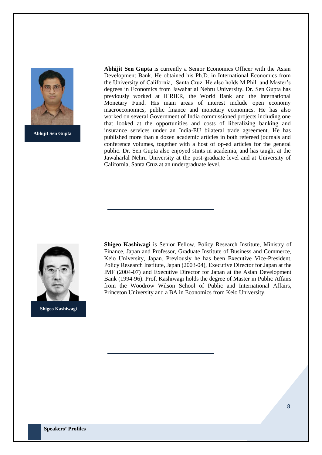

**Abhijit Sen Gupta**

**Abhijit Sen Gupta** is currently a Senior Economics Officer with the Asian Development Bank. He obtained his Ph.D. in International Economics from the University of California, Santa Cruz. He also holds M.Phil. and Master's degrees in Economics from Jawaharlal Nehru University. Dr. Sen Gupta has previously worked at ICRIER, the World Bank and the International Monetary Fund. His main areas of interest include open economy macroeconomics, public finance and monetary economics. He has also worked on several Government of India commissioned projects including one that looked at the opportunities and costs of liberalizing banking and insurance services under an India-EU bilateral trade agreement. He has published more than a dozen academic articles in both refereed journals and conference volumes, together with a host of op-ed articles for the general public. Dr. Sen Gupta also enjoyed stints in academia, and has taught at the Jawaharlal Nehru University at the post-graduate level and at University of California, Santa Cruz at an undergraduate level.



**Shigeo Kashiwagi** is Senior Fellow, Policy Research Institute, Ministry of Finance, Japan and Professor, Graduate Institute of Business and Commerce, Keio University, Japan. Previously he has been Executive Vice-President, Policy Research Institute, Japan (2003-04), Executive Director for Japan at the IMF (2004-07) and Executive Director for Japan at the Asian Development Bank (1994-96). Prof. Kashiwagi holds the degree of Master in Public Affairs from the Woodrow Wilson School of Public and International Affairs, Princeton University and a BA in Economics from Keio University.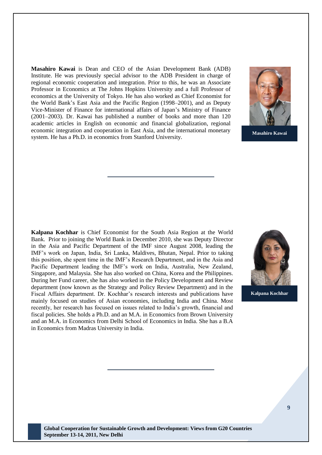**Masahiro Kawai** is Dean and CEO of the Asian Development Bank (ADB) Institute. He was previously special advisor to the ADB President in charge of regional economic cooperation and integration. Prior to this, he was an Associate Professor in Economics at The Johns Hopkins University and a full Professor of economics at the University of Tokyo. He has also worked as Chief Economist for the World Bank's East Asia and the Pacific Region (1998–2001), and as Deputy Vice-Minister of Finance for international affairs of Japan's Ministry of Finance (2001–2003). Dr. Kawai has published a number of books and more than 120 academic articles in English on economic and financial globalization, regional economic integration and cooperation in East Asia, and the international monetary system. He has a Ph.D. in economics from Stanford University.



**Masahiro Kawai**

**Kalpana Kochhar** is Chief Economist for the South Asia Region at the World Bank. Prior to joining the World Bank in December 2010, she was Deputy Director in the Asia and Pacific Department of the IMF since August 2008, leading the IMF's work on Japan, India, Sri Lanka, Maldives, Bhutan, Nepal. Prior to taking this position, she spent time in the IMF's Research Department, and in the Asia and Pacific Department leading the IMF's work on India, Australia, New Zealand, Singapore, and Malaysia. She has also worked on China, Korea and the Philippines. During her Fund career, she has also worked in the Policy Development and Review department (now known as the Strategy and Policy Review Department) and in the Fiscal Affairs department. Dr. Kochhar's research interests and publications have mainly focused on studies of Asian economies, including India and China. Most recently, her research has focused on issues related to India's growth, financial and fiscal policies. She holds a Ph.D. and an M.A. in Economics from Brown University and an M.A. in Economics from Delhi School of Economics in India. She has a B.A in Economics from Madras University in India.



**Kalpana Kochhar**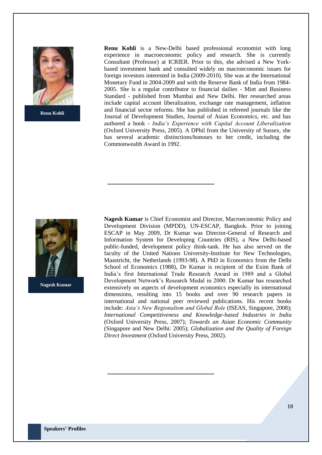

**Renu Kohli**

**Renu Kohli** is a New-Delhi based professional economist with long experience in macroeconomic policy and research. She is currently Consultant (Professor) at ICRIER. Prior to this, she advised a New Yorkbased investment bank and consulted widely on macroeconomic issues for foreign investors interested in India (2009-2010). She was at the International Monetary Fund in 2004-2009 and with the Reserve Bank of India from 1984- 2005. She is a regular contributor to financial dailies - Mint and Business Standard - published from Mumbai and New Delhi. Her researched areas include capital account liberalization, exchange rate management, inflation and financial sector reforms. She has published in refereed journals like the Journal of Development Studies, Journal of Asian Economics, etc. and has authored a book - *India's Experience with Capital Account Liberalization* (Oxford University Press, 2005). A DPhil from the University of Sussex, she has several academic distinctions/honours to her credit, including the Commonwealth Award in 1992.



**Nagesh Kumar**

**Nagesh Kumar** is Chief Economist and Director, Macroeconomic Policy and Development Division (MPDD), UN-ESCAP, Bangkok. Prior to joining ESCAP in May 2009, Dr Kumar was Director-General of Research and Information System for Developing Countries (RIS), a New Delhi-based public-funded, development policy think-tank. He has also served on the faculty of the United Nations University**-**Institute for New Technologies, Maastricht, the Netherlands (1993-98). A PhD in Economics from the Delhi School of Economics (1988), Dr Kumar is recipient of the Exim Bank of India's first International Trade Research Award in 1989 and a Global Development Network's Research Medal in 2000. Dr Kumar has researched extensively on aspects of development economics especially its international dimensions, resulting into 15 books and over 90 research papers in international and national peer reviewed publications. His recent books include: *Asia's New Regionalism and Global Role* (ISEAS, Singapore, 2008); *International Competitiveness and Knowledge-based Industries in India* (Oxford University Press, 2007); *Towards an Asian Economic Community*  (Singapore and New Delhi: 2005); *Globalization and the Quality of Foreign Direct Investment* (Oxford University Press, 2002).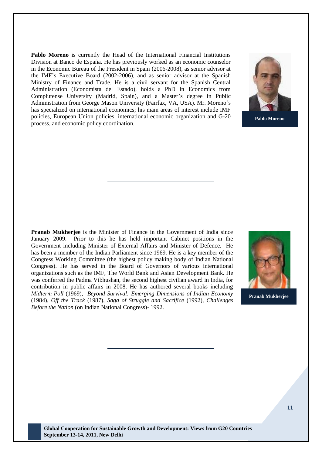**Pablo Moreno** is currently the Head of the International Financial Institutions Division at Banco de España. He has previously worked as an economic counselor in the Economic Bureau of the President in Spain (2006-2008), as senior advisor at the IMF's Executive Board (2002-2006), and as senior advisor at the Spanish Ministry of Finance and Trade. He is a civil servant for the Spanish Central Administration (Economista del Estado), holds a PhD in Economics from Complutense University (Madrid, Spain), and a Master's degree in Public Administration from George Mason University (Fairfax, VA, USA). Mr. Moreno's has specialized on international economics; his main areas of interest include IMF policies, European Union policies, international economic organization and G-20 process, and economic policy coordination.



**Pablo Moreno**

**Pranab Mukherjee** is the Minister of Finance in the Government of India since January 2009. Prior to this he has held important Cabinet positions in the Government including Minister of External Affairs and Minister of Defence. He has been a member of the Indian Parliament since 1969. He is a key member of the Congress Working Committee (the highest policy making body of Indian National Congress). He has served in the Board of Governors of various international organizations such as the IMF, The World Bank and Asian Development Bank. He was conferred the Padma Vibhushan, the second highest civilian award in India, for contribution in public affairs in 2008. He has authored several books including *Midterm Poll* (1969), *Beyond Survival: Emerging Dimensions of Indian Economy* (1984), *Off the Track* (1987), *Saga of Struggle and Sacrifice* (1992), *Challenges Before the Nation* (on Indian National Congress)- 1992.



**Pranab Mukherjee**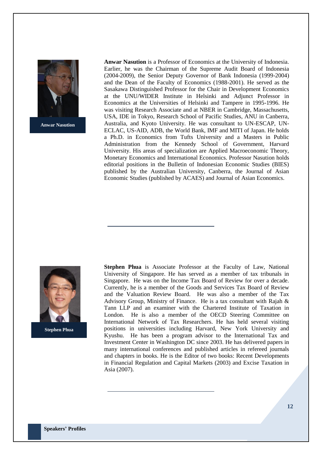

**Anwar Nasution**

**Anwar Nasution** is a Professor of Economics at the University of Indonesia. Earlier, he was the Chairman of the Supreme Audit Board of Indonesia (2004-2009), the Senior Deputy Governor of Bank Indonesia (1999-2004) and the Dean of the Faculty of Economics (1988-2001). He served as the Sasakawa Distinguished Professor for the Chair in Development Economics at the UNU/WIDER Institute in Helsinki and Adjunct Professor in Economics at the Universities of Helsinki and Tampere in 1995-1996. He was visiting Research Associate and at NBER in Cambridge, Massachusetts, USA, IDE in Tokyo, Research School of Pacific Studies, ANU in Canberra, Australia, and Kyoto University. He was consultant to UN-ESCAP, UN-ECLAC, US-AID, ADB, the World Bank, IMF and MITI of Japan. He holds a Ph.D. in Economics from Tufts University and a Masters in Public Administration from the Kennedy School of Government, Harvard University. His areas of specialization are Applied Macroeconomic Theory, Monetary Economics and International Economics. Professor Nasution holds editorial positions in the Bulletin of Indonesian Economic Studies (BIES) published by the Australian University, Canberra, the Journal of Asian Economic Studies (published by ACAES) and Journal of Asian Economics.



**Stephen Phua**

**Stephen Phua** is Associate Professor at the Faculty of Law, National University of Singapore. He has served as a member of tax tribunals in Singapore. He was on the Income Tax Board of Review for over a decade. Currently, he is a member of the Goods and Services Tax Board of Review and the Valuation Review Board. He was also a member of the Tax Advisory Group, Ministry of Finance. He is a tax consultant with Rajah & Tann LLP and an examiner with the Chartered Institute of Taxation in London. He is also a member of the OECD Steering Committee on International Network of Tax Researchers. He has held several visiting positions in universities including Harvard, New York University and Kyushu. He has been a program advisor to the International Tax and Investment Center in Washington DC since 2003. He has delivered papers in many international conferences and published articles in refereed journals and chapters in books. He is the Editor of two books: Recent Developments in Financial Regulation and Capital Markets (2003) and Excise Taxation in Asia (2007).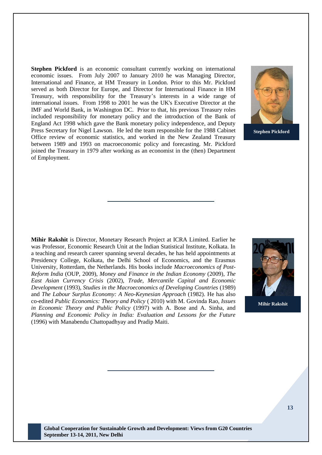**Stephen Pickford** is an economic consultant currently working on international economic issues. From July 2007 to January 2010 he was Managing Director, International and Finance, at HM Treasury in London. Prior to this Mr. Pickford served as both Director for Europe, and Director for International Finance in HM Treasury, with responsibility for the Treasury's interests in a wide range of international issues. From 1998 to 2001 he was the UK's Executive Director at the IMF and World Bank, in Washington DC. Prior to that, his previous Treasury roles included responsibility for monetary policy and the introduction of the Bank of England Act 1998 which gave the Bank monetary policy independence, and Deputy Press Secretary for Nigel Lawson. He led the team responsible for the 1988 Cabinet Office review of economic statistics, and worked in the New Zealand Treasury between 1989 and 1993 on macroeconomic policy and forecasting. Mr. Pickford joined the Treasury in 1979 after working as an economist in the (then) Department of Employment.



**Stephen Pickford**

**Mihir Rakshit** is Director, Monetary Research Project at ICRA Limited. Earlier he was Professor, Economic Research Unit at the Indian Statistical Institute, Kolkata. In a teaching and research career spanning several decades, he has held appointments at Presidency College, Kolkata, the Delhi School of Economics, and the Erasmus University, Rotterdam, the Netherlands. His books include *Macroeconomics of Post-Reform India* (OUP, 2009), *Money and Finance in the Indian Economy* (2009), *The East Asian Currency Crisis* (2002), *Trade, Mercantile Capital and Economic Development* (1993), *Studies in the Macroeconomics of Developing Countries* (1989) and *The Labour Surplus Economy: A Neo-Keynesian Approach* (1982). He has also co-edited *Public Economics: Theory and Policy* ( 2010) with M. Govinda Rao, *Issues in Economic Theory and Public Policy* (1997) with A. Bose and A. Sinha, and *Planning and Economic Policy in India: Evaluation and Lessons for the Future* (1996) with Manabendu Chattopadhyay and Pradip Maiti.



**Mihir Rakshit**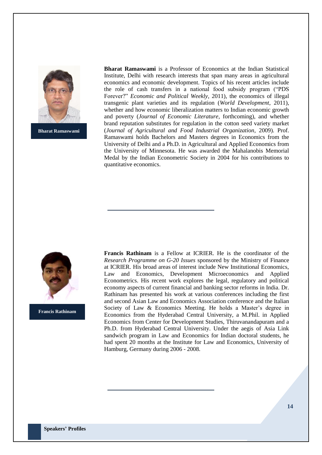

**Bharat Ramaswami**

**Bharat Ramaswami** is a Professor of Economics at the Indian Statistical Institute, Delhi with research interests that span many areas in agricultural economics and economic development. Topics of his recent articles include the role of cash transfers in a national food subsidy program ("PDS") Forever?" *Economic and Political Weekly*, 2011), the economics of illegal transgenic plant varieties and its regulation (*World Development*, 2011), whether and how economic liberalization matters to Indian economic growth and poverty (*Journal of Economic Literature*, forthcoming), and whether brand reputation substitutes for regulation in the cotton seed variety market (*Journal of Agricultural and Food Industrial Organization*, 2009). Prof. Ramaswami holds Bachelors and Masters degrees in Economics from the University of Delhi and a Ph.D. in Agricultural and Applied Economics from the University of Minnesota. He was awarded the Mahalanobis Memorial Medal by the Indian Econometric Society in 2004 for his contributions to quantitative economics.



**Francis Rathinam**

**Francis Rathinam** is a Fellow at ICRIER. He is the coordinator of the *Research Programme on G-20 Issues* sponsored by the Ministry of Finance at ICRIER. His broad areas of interest include New Institutional Economics, Law and Economics, Development Microeconomics and Applied Econometrics. His recent work explores the legal, regulatory and political economy aspects of current financial and banking sector reforms in India. Dr. Rathinam has presented his work at various conferences including the first and second Asian Law and Economics Association conference and the Italian Society of Law & Economics Meeting. He holds a Master's degree in Economics from the Hyderabad Central University, a M.Phil. in Applied Economics from Center for Development Studies, Thiruvanandapuram and a Ph.D. from Hyderabad Central University. Under the aegis of Asia Link sandwich program in Law and Economics for Indian doctoral students, he had spent 20 months at the Institute for Law and Economics, University of Hamburg, Germany during 2006 - 2008.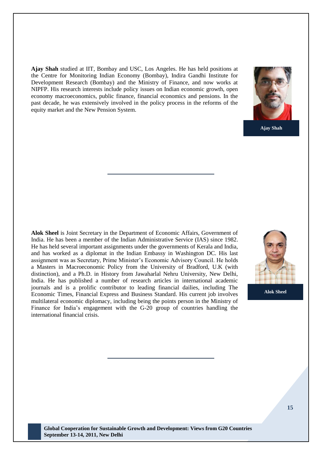**Ajay Shah** studied at IIT, Bombay and USC, Los Angeles. He has held positions at the Centre for Monitoring Indian Economy (Bombay), Indira Gandhi Institute for Development Research (Bombay) and the Ministry of Finance, and now works at NIPFP. His research interests include policy issues on Indian economic growth, open economy macroeconomics, public finance, financial economics and pensions. In the past decade, he was extensively involved in the policy process in the reforms of the equity market and the New Pension System.



**Ajay Shah**

**Alok Sheel** is Joint Secretary in the Department of Economic Affairs, Government of India. He has been a member of the Indian Administrative Service (IAS) since 1982. He has held several important assignments under the governments of Kerala and India, and has worked as a diplomat in the Indian Embassy in Washington DC. His last assignment was as Secretary, Prime Minister's Economic Advisory Council. He holds a Masters in Macroeconomic Policy from the University of Bradford, U.K (with distinction), and a Ph.D. in History from Jawaharlal Nehru University, New Delhi, India. He has published a number of research articles in international academic journals and is a prolific contributor to leading financial dailies, including The Economic Times, Financial Express and Business Standard. His current job involves multilateral economic diplomacy, including being the points person in the Ministry of Finance for India's engagement with the G-20 group of countries handling the international financial crisis.



**Alok Sheel**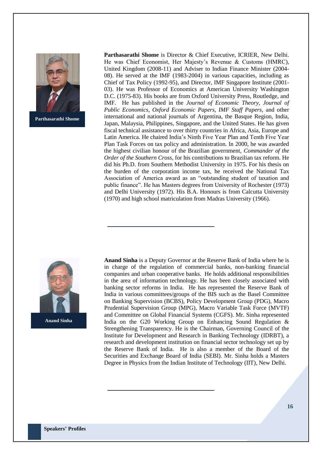

**Parthasarathi Shome**

**Parthasarathi Shome** is Director & Chief Executive, ICRIER, New Delhi. He was Chief Economist, Her Majesty's Revenue & Customs (HMRC), United Kingdom (2008-11) and Adviser to Indian Finance Minister (2004- 08). He served at the IMF (1983-2004) in various capacities, including as Chief of Tax Policy (1992-95), and Director, IMF Singapore Institute (2001- 03). He was Professor of Economics at American University Washington D.C. (1975-83). His books are from Oxford University Press, Routledge, and IMF. He has published in the *Journal of Economic Theory, Journal of Public Economics, Oxford Economic Papers, IMF Staff Papers,* and other international and national journals of Argentina, the Basque Region, India, Japan, Malaysia, Philippines, Singapore, and the United States. He has given fiscal technical assistance to over thirty countries in Africa, Asia, Europe and Latin America. He chaired India's Ninth Five Year Plan and Tenth Five Year Plan Task Forces on tax policy and administration. In 2000, he was awarded the highest civilian honour of the Brazilian government, *Commander of the Order of the Southern Cross*, for his contributions to Brazilian tax reform. He did his Ph.D. from Southern Methodist University in 1975. For his thesis on the burden of the corporation income tax, he received the National Tax Association of America award as an "outstanding student of taxation and public finance". He has Masters degrees from University of Rochester (1973) and Delhi University (1972). His B.A. Honours is from Calcutta University (1970) and high school matriculation from Madras University (1966).



**Anand Sinha**

**Anand Sinha** is a Deputy Governor at the Reserve Bank of India where he is in charge of the regulation of commercial banks, non-banking financial companies and urban cooperative banks. He holds additional responsibilities in the area of information technology. He has been closely associated with banking sector reforms in India. He has represented the Reserve Bank of India in various committees/groups of the BIS such as the Basel Committee on Banking Supervision (BCBS), Policy Development Group (PDG), Macro Prudential Supervision Group (MPG), Macro Variable Task Force (MVTF) and Committee on Global Financial Systems (CGFS). Mr. Sinha represented India on the G20 Working Group on Enhancing Sound Regulation & Strengthening Transparency. He is the Chairman, Governing Council of the Institute for Development and Research in Banking Technology (IDRBT), a research and development institution on financial sector technology set up by the Reserve Bank of India. He is also a member of the Board of the Securities and Exchange Board of India (SEBI). Mr. Sinha holds a Masters Degree in Physics from the Indian Institute of Technology (IIT), New Delhi.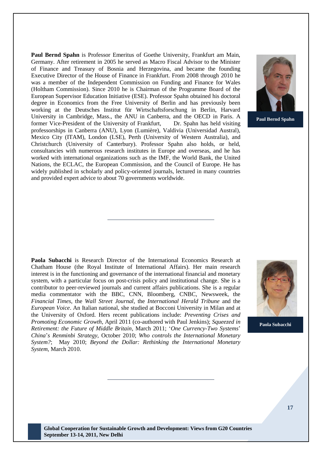**Paul Bernd Spahn** is Professor Emeritus of Goethe University, Frankfurt am Main, Germany. After retirement in 2005 he served as Macro Fiscal Advisor to the Minister of Finance and Treasury of Bosnia and Herzegovina, and became the founding Executive Director of the House of Finance in Frankfurt. From 2008 through 2010 he was a member of the Independent Commission on Funding and Finance for Wales (Holtham Commission). Since 2010 he is Chairman of the Programme Board of the European Supervisor Education Initiative (ESE). Professor Spahn obtained his doctoral degree in Economics from the Free University of Berlin and has previously been working at the Deutsches Institut für Wirtschaftsforschung in Berlin, Harvard University in Cambridge, Mass., the ANU in Canberra, and the OECD in Paris. A former Vice-President of the University of Frankfurt, Dr. Spahn has held visiting professorships in Canberra (ANU), Lyon (Lumière), Valdivia (Universidad Austral), Mexico City (ITAM), London (LSE), Perth (University of Western Australia), and Christchurch (University of Canterbury). Professor Spahn also holds, or held, consultancies with numerous research institutes in Europe and overseas, and he has worked with international organizations such as the IMF, the World Bank, the United Nations, the ECLAC, the European Commission, and the Council of Europe. He has widely published in scholarly and policy-oriented journals, lectured in many countries and provided expert advice to about 70 governments worldwide.



**Paul Bernd Spahn**

**Paola Subacchi** is Research Director of the International Economics Research at Chatham House (the Royal Institute of International Affairs). Her main research interest is in the functioning and governance of the international financial and monetary system, with a particular focus on post-crisis policy and institutional change. She is a contributor to peer-reviewed journals and current affairs publications. She is a regular media commentator with the BBC, CNN, Bloomberg, CNBC, Newsweek, the *Financial Times*, the *Wall Street Journal*, the *International Herald Tribune* and the *European Voice*. An Italian national, she studied at Bocconi University in Milan and at the University of Oxford. Hers recent publications include: *Preventing Crises and Promoting Economic Growth*, April 2011 (co-authored with Paul Jenkins); *Squeezed in Retirement: the Future of Middle Britain*, March 2011; ‗*One Currency-Two Systems*' *China*'*s Renminbi Strategy*, October 2010; *Who controls the International Monetary System?*; May 2010; *Beyond the Dollar: Rethinking the International Monetary System*, March 2010.



**Paola Subacchi**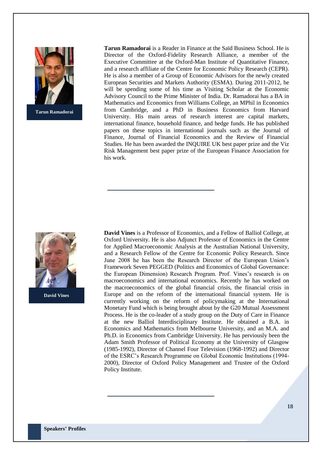

**Tarun Ramadorai**

**Tarun Ramadorai** is a Reader in Finance at the Saïd Business School. He is Director of the Oxford-Fidelity Research Alliance, a member of the Executive Committee at the Oxford-Man Institute of Quantitative Finance, and a research affiliate of the Centre for Economic Policy Research (CEPR). He is also a member of a Group of Economic Advisors for the newly created European Securities and Markets Authority (ESMA). During 2011-2012, he will be spending some of his time as Visiting Scholar at the Economic Advisory Council to the Prime Minister of India. Dr. Ramadorai has a BA in Mathematics and Economics from Williams College, an MPhil in Economics from Cambridge, and a PhD in Business Economics from Harvard University. His main areas of research interest are capital markets, international finance, household finance, and hedge funds. He has published papers on these topics in international journals such as the Journal of Finance, Journal of Financial Economics and the Review of Financial Studies. He has been awarded the INQUIRE UK best paper prize and the Viz Risk Management best paper prize of the European Finance Association for his work.



**David Vines**

**David Vines** is a Professor of Economics, and a Fellow of Balliol College, at Oxford University. He is also Adjunct Professor of Economics in the Centre for Applied Macroeconomic Analysis at the Australian National University, and a Research Fellow of the Centre for Economic Policy Research. Since June 2008 he has been the Research Director of the European Union's Framework Seven PEGGED (Politics and Economics of Global Governance: the European Dimension) Research Program. Prof. Vines's research is on macroeconomics and international economics. Recently he has worked on the macroeconomics of the global financial crisis, the financial crisis in Europe and on the reform of the international financial system. He is currently working on the reform of policymaking at the International Monetary Fund which is being brought about by the G20 Mutual Assessment Process. He is the co-leader of a study group on the Duty of Care in Finance at the new Balliol Interdisciplinary Institute. He obtained a B.A. in Economics and Mathematics from Melbourne University, and an M.A. and Ph.D. in Economics from Cambridge University. He has perviously been the Adam Smith Professor of Political Economy at the University of Glasgow (1985-1992), Director of Channel Four Television (1968-1992) and Director of the ESRC's Research Programme on Global Economic Institutions (1994- 2000), Director of Oxford Policy Management and Trustee of the Oxford Policy Institute.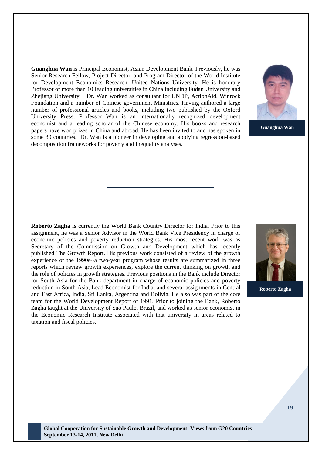**Guanghua Wan** is Principal Economist, Asian Development Bank. Previously, he was Senior Research Fellow, Project Director, and Program Director of the World Institute for Development Economics Research, United Nations University. He is honorary Professor of more than 10 leading universities in China including Fudan University and Zhejiang University. Dr. Wan worked as consultant for UNDP, ActionAid, Winrock Foundation and a number of Chinese government Ministries. Having authored a large number of professional articles and books, including two published by the Oxford University Press, Professor Wan is an internationally recognized development economist and a leading scholar of the Chinese economy. His books and research papers have won prizes in China and abroad. He has been invited to and has spoken in some 30 countries. Dr. Wan is a pioneer in developing and applying regression-based decomposition frameworks for poverty and inequality analyses.



**Guanghua Wan**

**Roberto Zagha** is currently the World Bank Country Director for India. Prior to this assignment, he was a Senior Advisor in the World Bank Vice Presidency in charge of economic policies and poverty reduction strategies. His most recent work was as Secretary of the Commission on Growth and Development which has recently published The Growth Report. His previous work consisted of a review of the growth experience of the 1990s--a two-year program whose results are summarized in three reports which review growth experiences, explore the current thinking on growth and the role of policies in growth strategies. Previous positions in the Bank include Director for South Asia for the Bank department in charge of economic policies and poverty reduction in South Asia, Lead Economist for India, and several assignments in Central and East Africa, India, Sri Lanka, Argentina and Bolivia. He also was part of the core team for the World Development Report of 1991. Prior to joining the Bank, Roberto Zagha taught at the University of Sao Paulo, Brazil, and worked as senior economist in the Economic Research Institute associated with that university in areas related to taxation and fiscal policies.



**Roberto Zagha**